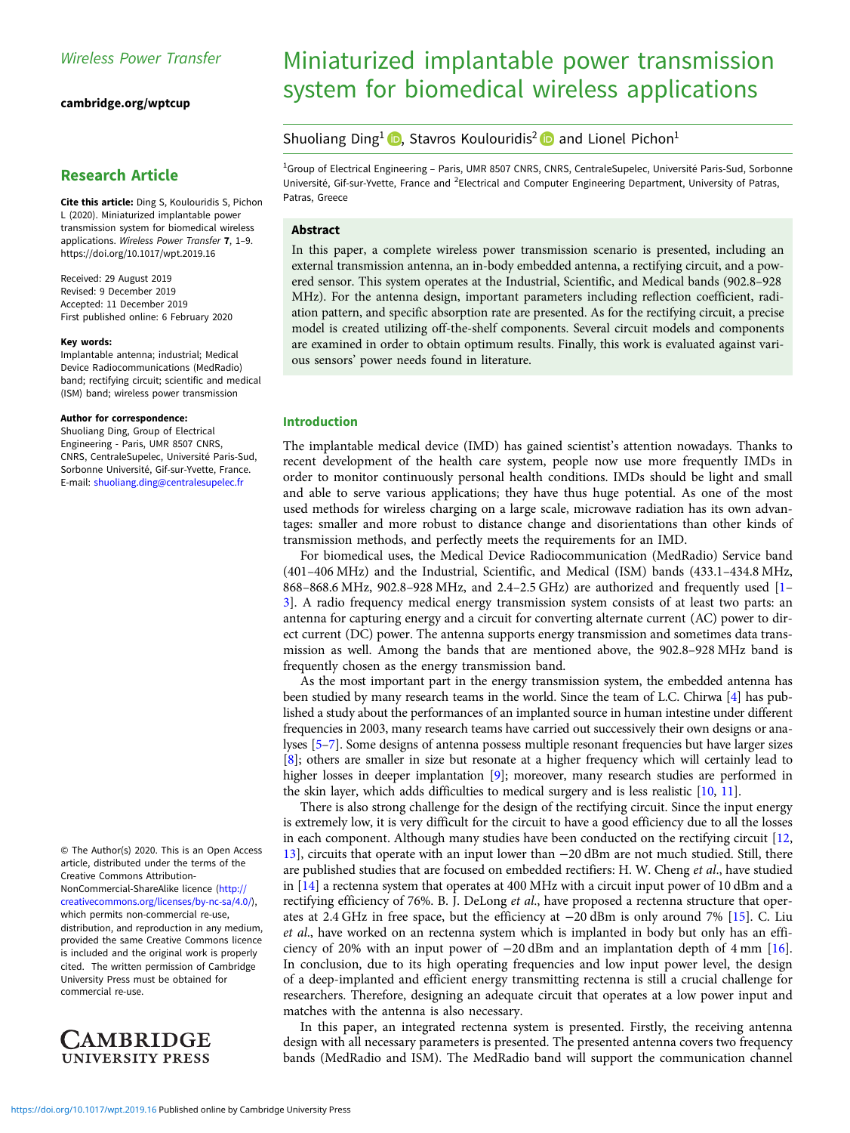[cambridge.org/wptcup](https://www.cambridge.org/wptcup)

# Research Article

Cite this article: Ding S, Koulouridis S, Pichon L (2020). Miniaturized implantable power transmission system for biomedical wireless applications. Wireless Power Transfer 7, 1–9. <https://doi.org/10.1017/wpt.2019.16>

Received: 29 August 2019 Revised: 9 December 2019 Accepted: 11 December 2019 First published online: 6 February 2020

#### Key words:

Implantable antenna; industrial; Medical Device Radiocommunications (MedRadio) band; rectifying circuit; scientific and medical (ISM) band; wireless power transmission

#### Author for correspondence:

Shuoliang Ding, Group of Electrical Engineering - Paris, UMR 8507 CNRS, CNRS, CentraleSupelec, Université Paris-Sud, Sorbonne Université, Gif-sur-Yvette, France. E-mail: [shuoliang.ding@centralesupelec.fr](mailto:shuoliang.ding@centralesupelec.fr)

© The Author(s) 2020. This is an Open Access article, distributed under the terms of the Creative Commons Attribution-NonCommercial-ShareAlike licence [\(http://](http://creativecommons.org/licenses/by-nc-sa/4.0/) [creativecommons.org/licenses/by-nc-sa/4.0/](http://creativecommons.org/licenses/by-nc-sa/4.0/)), which permits non-commercial re-use, distribution, and reproduction in any medium, provided the same Creative Commons licence is included and the original work is properly cited. The written permission of Cambridge University Press must be obtained for commercial re-use.



# Miniaturized implantable power transmission system for biomedical wireless applications

## Shuoliang Ding<sup>1</sup> **D**, Stavros Koulouridis<sup>2</sup> **D** and Lionel Pichon<sup>1</sup>

<sup>1</sup>Group of Electrical Engineering - Paris, UMR 8507 CNRS, CNRS, CentraleSupelec, Université Paris-Sud, Sorbonne Université, Gif-sur-Yvette, France and <sup>2</sup>Electrical and Computer Engineering Department, University of Patras, Patras, Greece

## Abstract

In this paper, a complete wireless power transmission scenario is presented, including an external transmission antenna, an in-body embedded antenna, a rectifying circuit, and a powered sensor. This system operates at the Industrial, Scientific, and Medical bands (902.8–928 MHz). For the antenna design, important parameters including reflection coefficient, radiation pattern, and specific absorption rate are presented. As for the rectifying circuit, a precise model is created utilizing off-the-shelf components. Several circuit models and components are examined in order to obtain optimum results. Finally, this work is evaluated against various sensors' power needs found in literature.

#### Introduction

The implantable medical device (IMD) has gained scientist's attention nowadays. Thanks to recent development of the health care system, people now use more frequently IMDs in order to monitor continuously personal health conditions. IMDs should be light and small and able to serve various applications; they have thus huge potential. As one of the most used methods for wireless charging on a large scale, microwave radiation has its own advantages: smaller and more robust to distance change and disorientations than other kinds of transmission methods, and perfectly meets the requirements for an IMD.

For biomedical uses, the Medical Device Radiocommunication (MedRadio) Service band (401–406 MHz) and the Industrial, Scientific, and Medical (ISM) bands (433.1–434.8 MHz, 868–868.6 MHz, 902.8–928 MHz, and 2.4–2.5 GHz) are authorized and frequently used [\[1](#page-7-0)– [3\]](#page-7-0). A radio frequency medical energy transmission system consists of at least two parts: an antenna for capturing energy and a circuit for converting alternate current (AC) power to direct current (DC) power. The antenna supports energy transmission and sometimes data transmission as well. Among the bands that are mentioned above, the 902.8–928 MHz band is frequently chosen as the energy transmission band.

As the most important part in the energy transmission system, the embedded antenna has been studied by many research teams in the world. Since the team of L.C. Chirwa [\[4\]](#page-7-0) has published a study about the performances of an implanted source in human intestine under different frequencies in 2003, many research teams have carried out successively their own designs or analyses [\[5](#page-7-0)–[7\]](#page-7-0). Some designs of antenna possess multiple resonant frequencies but have larger sizes [[8](#page-7-0)]; others are smaller in size but resonate at a higher frequency which will certainly lead to higher losses in deeper implantation [\[9\]](#page-7-0); moreover, many research studies are performed in the skin layer, which adds difficulties to medical surgery and is less realistic [\[10](#page-7-0), [11](#page-7-0)].

There is also strong challenge for the design of the rectifying circuit. Since the input energy is extremely low, it is very difficult for the circuit to have a good efficiency due to all the losses in each component. Although many studies have been conducted on the rectifying circuit [\[12](#page-7-0), [13\]](#page-7-0), circuits that operate with an input lower than −20 dBm are not much studied. Still, there are published studies that are focused on embedded rectifiers: H. W. Cheng et al., have studied in  $[14]$  $[14]$  a rectenna system that operates at 400 MHz with a circuit input power of 10 dBm and a rectifying efficiency of 76%. B. J. DeLong et al., have proposed a rectenna structure that operates at 2.4 GHz in free space, but the efficiency at −20 dBm is only around 7% [\[15\]](#page-7-0). C. Liu et al., have worked on an rectenna system which is implanted in body but only has an efficiency of 20% with an input power of −20 dBm and an implantation depth of 4 mm [\[16](#page-7-0)]. In conclusion, due to its high operating frequencies and low input power level, the design of a deep-implanted and efficient energy transmitting rectenna is still a crucial challenge for researchers. Therefore, designing an adequate circuit that operates at a low power input and matches with the antenna is also necessary.

In this paper, an integrated rectenna system is presented. Firstly, the receiving antenna design with all necessary parameters is presented. The presented antenna covers two frequency bands (MedRadio and ISM). The MedRadio band will support the communication channel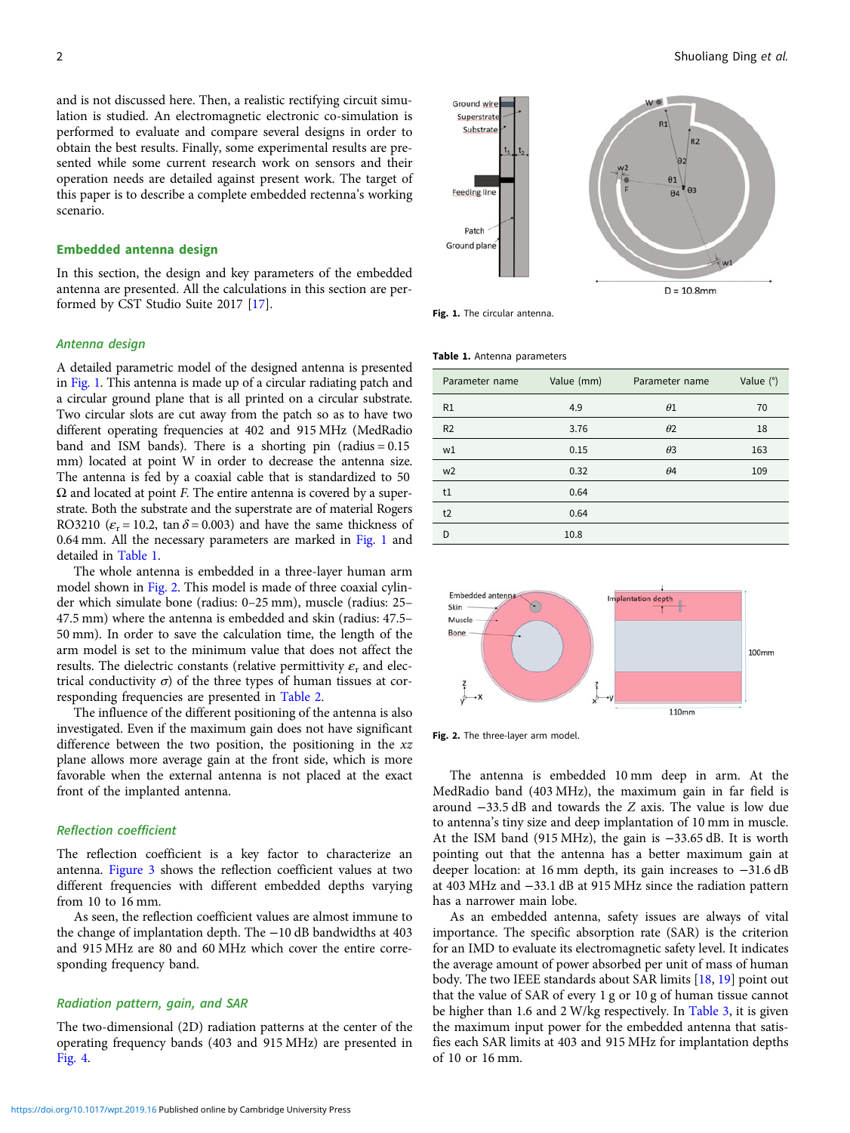and is not discussed here. Then, a realistic rectifying circuit simulation is studied. An electromagnetic electronic co-simulation is performed to evaluate and compare several designs in order to obtain the best results. Finally, some experimental results are presented while some current research work on sensors and their operation needs are detailed against present work. The target of this paper is to describe a complete embedded rectenna's working scenario.

## Embedded antenna design

In this section, the design and key parameters of the embedded antenna are presented. All the calculations in this section are performed by CST Studio Suite 2017 [[17\]](#page-7-0).

## Antenna design

A detailed parametric model of the designed antenna is presented in Fig. 1. This antenna is made up of a circular radiating patch and a circular ground plane that is all printed on a circular substrate. Two circular slots are cut away from the patch so as to have two different operating frequencies at 402 and 915 MHz (MedRadio band and ISM bands). There is a shorting pin (radius  $= 0.15$ mm) located at point W in order to decrease the antenna size. The antenna is fed by a coaxial cable that is standardized to 50  $\Omega$  and located at point F. The entire antenna is covered by a superstrate. Both the substrate and the superstrate are of material Rogers RO3210 ( $\varepsilon_r$  = 10.2, tan  $\delta$  = 0.003) and have the same thickness of 0.64 mm. All the necessary parameters are marked in Fig. 1 and detailed in Table 1.

The whole antenna is embedded in a three-layer human arm model shown in Fig. 2. This model is made of three coaxial cylinder which simulate bone (radius: 0–25 mm), muscle (radius: 25– 47.5 mm) where the antenna is embedded and skin (radius: 47.5– 50 mm). In order to save the calculation time, the length of the arm model is set to the minimum value that does not affect the results. The dielectric constants (relative permittivity  $\varepsilon$ <sub>r</sub> and electrical conductivity  $\sigma$ ) of the three types of human tissues at corresponding frequencies are presented in [Table 2](#page-2-0).

The influence of the different positioning of the antenna is also investigated. Even if the maximum gain does not have significant difference between the two position, the positioning in the  $xz$ plane allows more average gain at the front side, which is more favorable when the external antenna is not placed at the exact front of the implanted antenna.

#### Reflection coefficient

The reflection coefficient is a key factor to characterize an antenna. [Figure 3](#page-2-0) shows the reflection coefficient values at two different frequencies with different embedded depths varying from 10 to 16 mm.

As seen, the reflection coefficient values are almost immune to the change of implantation depth. The −10 dB bandwidths at 403 and 915 MHz are 80 and 60 MHz which cover the entire corresponding frequency band.

#### Radiation pattern, gain, and SAR

The two-dimensional (2D) radiation patterns at the center of the operating frequency bands (403 and 915 MHz) are presented in [Fig. 4](#page-2-0).



Fig. 1. The circular antenna.

#### Table 1. Antenna parameters

| Parameter name | Value (mm) | Parameter name | Value $(°)$ |
|----------------|------------|----------------|-------------|
| R1             | 4.9        | $\theta$ 1     | 70          |
| R <sub>2</sub> | 3.76       | $\theta$ 2     | 18          |
| W <sub>1</sub> | 0.15       | $\theta$ 3     | 163         |
| w <sub>2</sub> | 0.32       | $\theta$ 4     | 109         |
| t1             | 0.64       |                |             |
| t2             | 0.64       |                |             |
| D              | 10.8       |                |             |



Fig. 2. The three-layer arm model.

The antenna is embedded 10 mm deep in arm. At the MedRadio band (403 MHz), the maximum gain in far field is around −33.5 dB and towards the Z axis. The value is low due to antenna's tiny size and deep implantation of 10 mm in muscle. At the ISM band (915 MHz), the gain is −33.65 dB. It is worth pointing out that the antenna has a better maximum gain at deeper location: at 16 mm depth, its gain increases to −31.6 dB at 403 MHz and −33.1 dB at 915 MHz since the radiation pattern has a narrower main lobe.

As an embedded antenna, safety issues are always of vital importance. The specific absorption rate (SAR) is the criterion for an IMD to evaluate its electromagnetic safety level. It indicates the average amount of power absorbed per unit of mass of human body. The two IEEE standards about SAR limits [[18,](#page-7-0) [19](#page-7-0)] point out that the value of SAR of every 1 g or 10 g of human tissue cannot be higher than 1.6 and 2 W/kg respectively. In [Table 3](#page-3-0), it is given the maximum input power for the embedded antenna that satisfies each SAR limits at 403 and 915 MHz for implantation depths of 10 or 16 mm.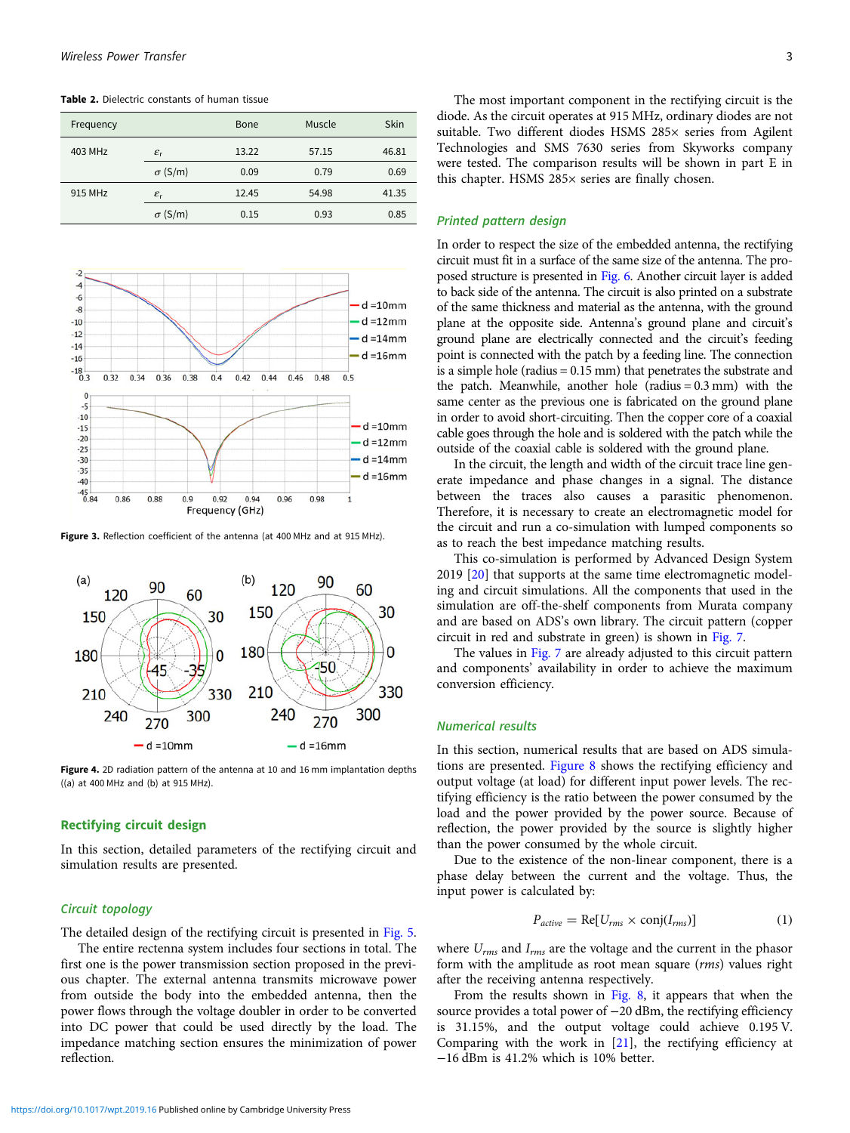<span id="page-2-0"></span>Table 2. Dielectric constants of human tissue

| Frequency |                       | Bone  | Muscle | Skin  |
|-----------|-----------------------|-------|--------|-------|
| 403 MHz   | $\varepsilon_{\rm r}$ | 13.22 | 57.15  | 46.81 |
|           | $\sigma$ (S/m)        | 0.09  | 0.79   | 0.69  |
| 915 MHz   | $\varepsilon_{\rm r}$ | 12.45 | 54.98  | 41.35 |
|           | $\sigma$ (S/m)        | 0.15  | 0.93   | 0.85  |



Figure 3. Reflection coefficient of the antenna (at 400 MHz and at 915 MHz).



Figure 4. 2D radiation pattern of the antenna at 10 and 16 mm implantation depths ((a) at 400 MHz and (b) at 915 MHz).

### Rectifying circuit design

In this section, detailed parameters of the rectifying circuit and simulation results are presented.

#### Circuit topology

The detailed design of the rectifying circuit is presented in [Fig. 5.](#page-3-0)

The entire rectenna system includes four sections in total. The first one is the power transmission section proposed in the previous chapter. The external antenna transmits microwave power from outside the body into the embedded antenna, then the power flows through the voltage doubler in order to be converted into DC power that could be used directly by the load. The impedance matching section ensures the minimization of power reflection.

The most important component in the rectifying circuit is the diode. As the circuit operates at 915 MHz, ordinary diodes are not suitable. Two different diodes HSMS 285× series from Agilent Technologies and SMS 7630 series from Skyworks company were tested. The comparison results will be shown in part E in this chapter. HSMS 285× series are finally chosen.

#### Printed pattern design

In order to respect the size of the embedded antenna, the rectifying circuit must fit in a surface of the same size of the antenna. The proposed structure is presented in [Fig. 6.](#page-3-0) Another circuit layer is added to back side of the antenna. The circuit is also printed on a substrate of the same thickness and material as the antenna, with the ground plane at the opposite side. Antenna's ground plane and circuit's ground plane are electrically connected and the circuit's feeding point is connected with the patch by a feeding line. The connection is a simple hole (radius = 0.15 mm) that penetrates the substrate and the patch. Meanwhile, another hole (radius  $= 0.3$  mm) with the same center as the previous one is fabricated on the ground plane in order to avoid short-circuiting. Then the copper core of a coaxial cable goes through the hole and is soldered with the patch while the outside of the coaxial cable is soldered with the ground plane.

In the circuit, the length and width of the circuit trace line generate impedance and phase changes in a signal. The distance between the traces also causes a parasitic phenomenon. Therefore, it is necessary to create an electromagnetic model for the circuit and run a co-simulation with lumped components so as to reach the best impedance matching results.

This co-simulation is performed by Advanced Design System 2019 [[20\]](#page-7-0) that supports at the same time electromagnetic modeling and circuit simulations. All the components that used in the simulation are off-the-shelf components from Murata company and are based on ADS's own library. The circuit pattern (copper circuit in red and substrate in green) is shown in [Fig. 7.](#page-3-0)

The values in [Fig. 7](#page-3-0) are already adjusted to this circuit pattern and components' availability in order to achieve the maximum conversion efficiency.

## Numerical results

In this section, numerical results that are based on ADS simulations are presented. [Figure 8](#page-3-0) shows the rectifying efficiency and output voltage (at load) for different input power levels. The rectifying efficiency is the ratio between the power consumed by the load and the power provided by the power source. Because of reflection, the power provided by the source is slightly higher than the power consumed by the whole circuit.

Due to the existence of the non-linear component, there is a phase delay between the current and the voltage. Thus, the input power is calculated by:

$$
P_{active} = \text{Re}[U_{rms} \times \text{conj}(I_{rms})]
$$
 (1)

where  $U_{rms}$  and  $I_{rms}$  are the voltage and the current in the phasor form with the amplitude as root mean square (rms) values right after the receiving antenna respectively.

From the results shown in [Fig. 8,](#page-3-0) it appears that when the source provides a total power of −20 dBm, the rectifying efficiency is 31.15%, and the output voltage could achieve 0.195 V. Comparing with the work in [[21](#page-7-0)], the rectifying efficiency at −16 dBm is 41.2% which is 10% better.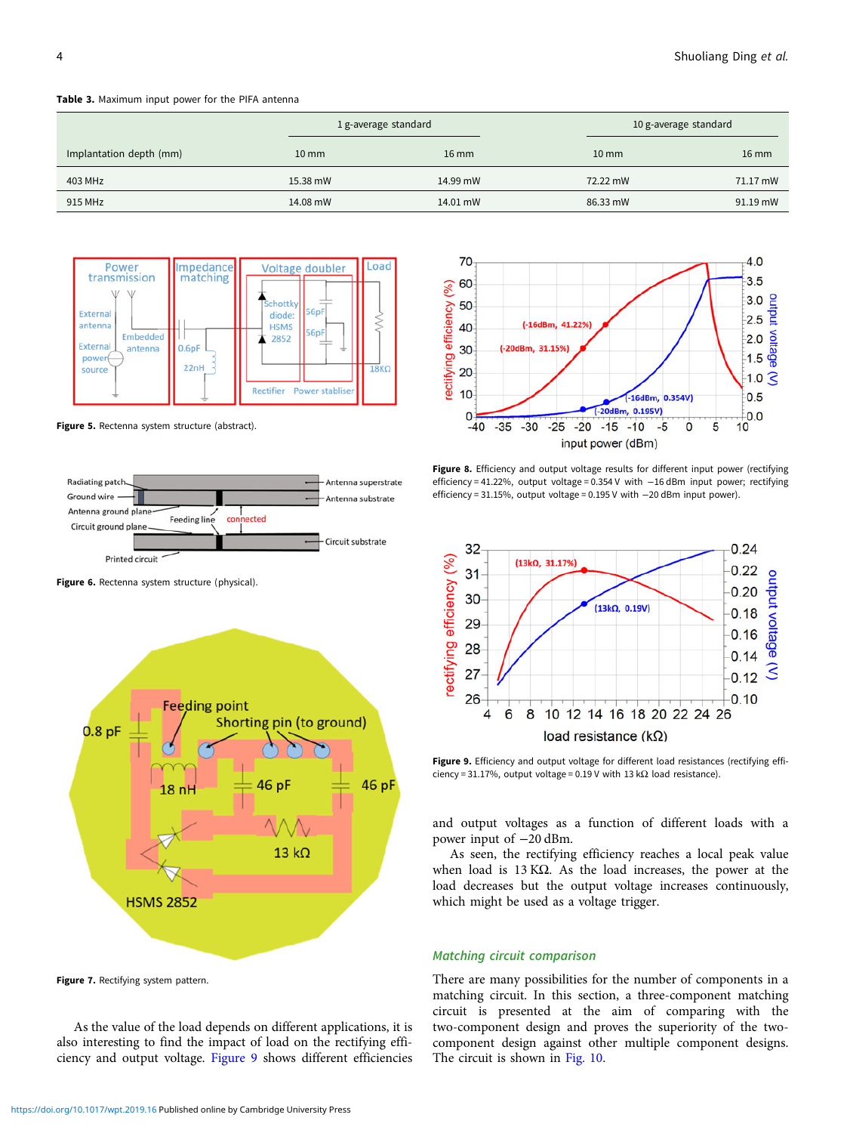# <span id="page-3-0"></span>Table 3. Maximum input power for the PIFA antenna

|                         |                 | 1 g-average standard |                   | 10 g-average standard |  |
|-------------------------|-----------------|----------------------|-------------------|-----------------------|--|
| Implantation depth (mm) | $10 \text{ mm}$ | $16$ mm              | $10 \, \text{mm}$ | $16 \text{ mm}$       |  |
| 403 MHz                 | 15.38 mW        | 14.99 mW             | 72.22 mW          | 71.17 mW              |  |
| 915 MHz                 | 14.08 mW        | 14.01 mW             | 86.33 mW          | 91.19 mW              |  |



Figure 5. Rectenna system structure (abstract).



Figure 6. Rectenna system structure (physical).



Figure 7. Rectifying system pattern.

As the value of the load depends on different applications, it is also interesting to find the impact of load on the rectifying efficiency and output voltage. Figure 9 shows different efficiencies



Figure 8. Efficiency and output voltage results for different input power (rectifying efficiency = 41.22%, output voltage = 0.354 V with −16 dBm input power; rectifying efficiency = 31.15%, output voltage = 0.195 V with −20 dBm input power).



Figure 9. Efficiency and output voltage for different load resistances (rectifying efficiency = 31.17%, output voltage = 0.19 V with 13 k $\Omega$  load resistance).

and output voltages as a function of different loads with a power input of −20 dBm.

As seen, the rectifying efficiency reaches a local peak value when load is 13 KΩ. As the load increases, the power at the load decreases but the output voltage increases continuously, which might be used as a voltage trigger.

### Matching circuit comparison

There are many possibilities for the number of components in a matching circuit. In this section, a three-component matching circuit is presented at the aim of comparing with the two-component design and proves the superiority of the twocomponent design against other multiple component designs. The circuit is shown in [Fig. 10](#page-4-0).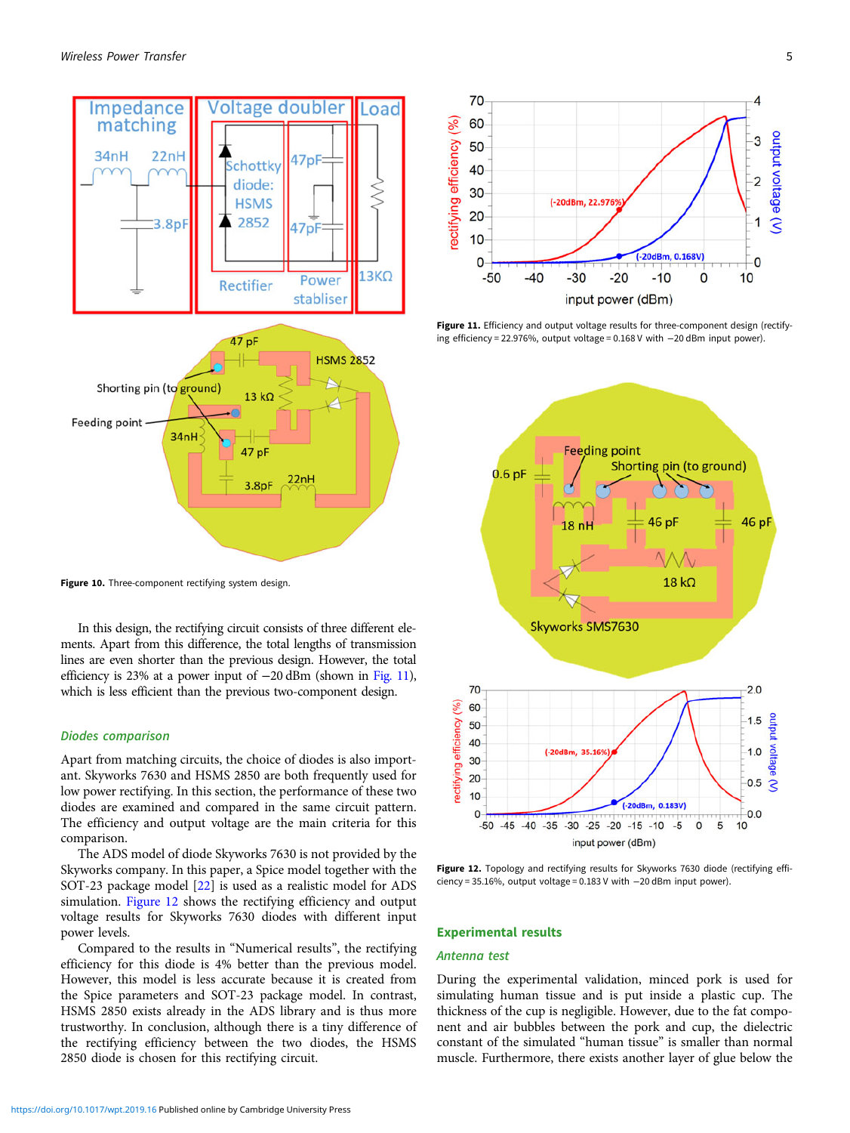<span id="page-4-0"></span>

Figure 10. Three-component rectifying system design.

In this design, the rectifying circuit consists of three different elements. Apart from this difference, the total lengths of transmission lines are even shorter than the previous design. However, the total efficiency is 23% at a power input of −20 dBm (shown in Fig. 11), which is less efficient than the previous two-component design.

#### Diodes comparison

Apart from matching circuits, the choice of diodes is also important. Skyworks 7630 and HSMS 2850 are both frequently used for low power rectifying. In this section, the performance of these two diodes are examined and compared in the same circuit pattern. The efficiency and output voltage are the main criteria for this comparison.

The ADS model of diode Skyworks 7630 is not provided by the Skyworks company. In this paper, a Spice model together with the SOT-23 package model [\[22\]](#page-7-0) is used as a realistic model for ADS simulation. Figure 12 shows the rectifying efficiency and output voltage results for Skyworks 7630 diodes with different input power levels.

Compared to the results in "Numerical results", the rectifying efficiency for this diode is 4% better than the previous model. However, this model is less accurate because it is created from the Spice parameters and SOT-23 package model. In contrast, HSMS 2850 exists already in the ADS library and is thus more trustworthy. In conclusion, although there is a tiny difference of the rectifying efficiency between the two diodes, the HSMS 2850 diode is chosen for this rectifying circuit.



Figure 11. Efficiency and output voltage results for three-component design (rectifying efficiency = 22.976%, output voltage = 0.168 V with −20 dBm input power).



Figure 12. Topology and rectifying results for Skyworks 7630 diode (rectifying efficiency = 35.16%, output voltage = 0.183 V with −20 dBm input power).

#### Experimental results

## Antenna test

During the experimental validation, minced pork is used for simulating human tissue and is put inside a plastic cup. The thickness of the cup is negligible. However, due to the fat component and air bubbles between the pork and cup, the dielectric constant of the simulated "human tissue" is smaller than normal muscle. Furthermore, there exists another layer of glue below the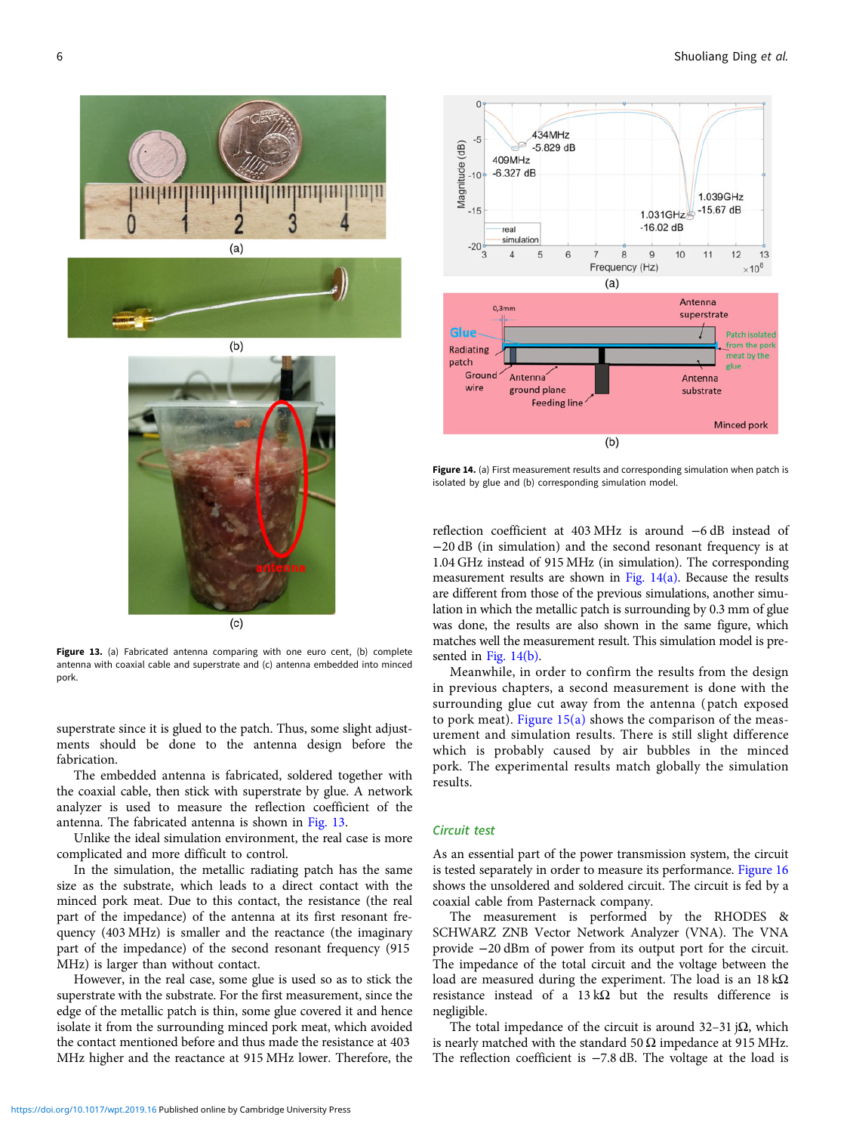



Figure 13. (a) Fabricated antenna comparing with one euro cent, (b) complete antenna with coaxial cable and superstrate and (c) antenna embedded into minced pork.

superstrate since it is glued to the patch. Thus, some slight adjustments should be done to the antenna design before the fabrication.

The embedded antenna is fabricated, soldered together with the coaxial cable, then stick with superstrate by glue. A network analyzer is used to measure the reflection coefficient of the antenna. The fabricated antenna is shown in Fig. 13.

Unlike the ideal simulation environment, the real case is more complicated and more difficult to control.

In the simulation, the metallic radiating patch has the same size as the substrate, which leads to a direct contact with the minced pork meat. Due to this contact, the resistance (the real part of the impedance) of the antenna at its first resonant frequency (403 MHz) is smaller and the reactance (the imaginary part of the impedance) of the second resonant frequency (915 MHz) is larger than without contact.

However, in the real case, some glue is used so as to stick the superstrate with the substrate. For the first measurement, since the edge of the metallic patch is thin, some glue covered it and hence isolate it from the surrounding minced pork meat, which avoided the contact mentioned before and thus made the resistance at 403 MHz higher and the reactance at 915 MHz lower. Therefore, the



Figure 14. (a) First measurement results and corresponding simulation when patch is isolated by glue and (b) corresponding simulation model.

reflection coefficient at 403 MHz is around −6 dB instead of −20 dB (in simulation) and the second resonant frequency is at 1.04 GHz instead of 915 MHz (in simulation). The corresponding measurement results are shown in Fig.  $14(a)$ . Because the results are different from those of the previous simulations, another simulation in which the metallic patch is surrounding by 0.3 mm of glue was done, the results are also shown in the same figure, which matches well the measurement result. This simulation model is presented in Fig. 14(b).

Meanwhile, in order to confirm the results from the design in previous chapters, a second measurement is done with the surrounding glue cut away from the antenna ( patch exposed to pork meat). Figure  $15(a)$  shows the comparison of the measurement and simulation results. There is still slight difference which is probably caused by air bubbles in the minced pork. The experimental results match globally the simulation results.

#### Circuit test

As an essential part of the power transmission system, the circuit is tested separately in order to measure its performance. [Figure 16](#page-6-0) shows the unsoldered and soldered circuit. The circuit is fed by a coaxial cable from Pasternack company.

The measurement is performed by the RHODES & SCHWARZ ZNB Vector Network Analyzer (VNA). The VNA provide −20 dBm of power from its output port for the circuit. The impedance of the total circuit and the voltage between the load are measured during the experiment. The load is an 18 kΩ resistance instead of a 13 kΩ but the results difference is negligible.

The total impedance of the circuit is around 32–31 j $\Omega$ , which is nearly matched with the standard 50  $\Omega$  impedance at 915 MHz. The reflection coefficient is −7.8 dB. The voltage at the load is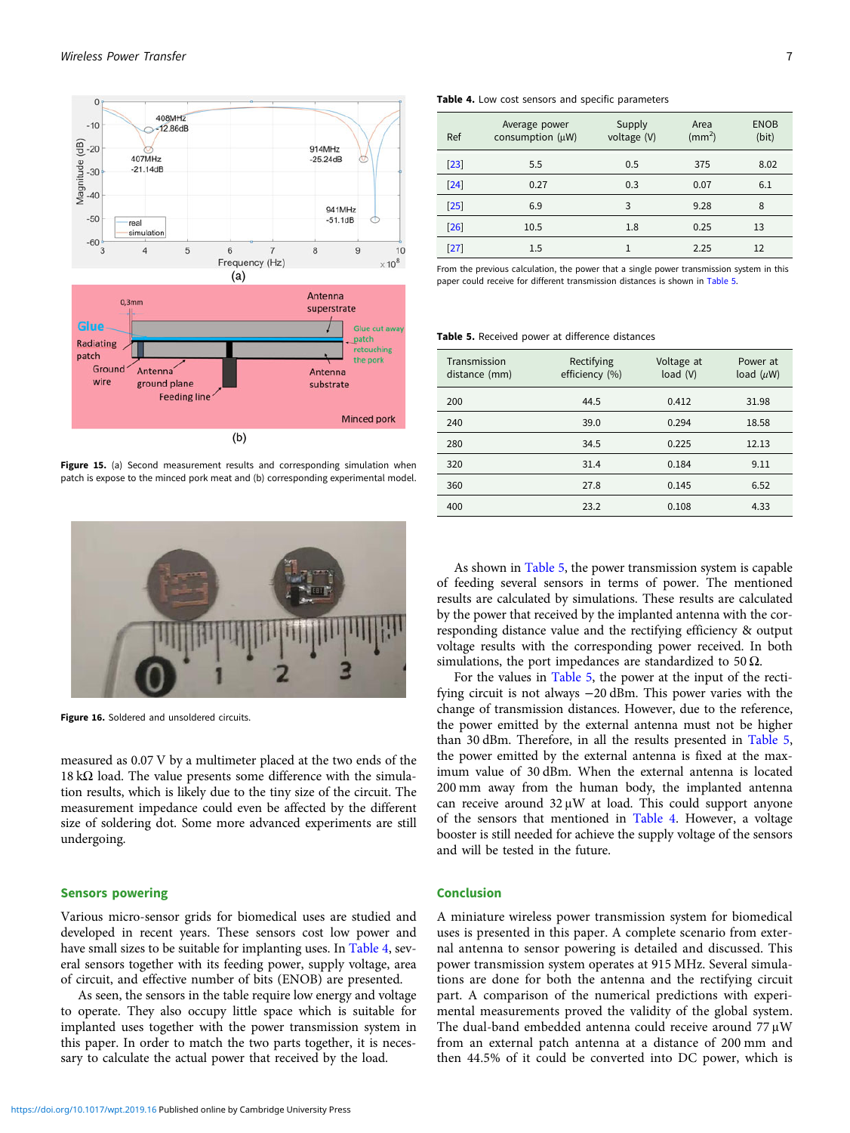<span id="page-6-0"></span>

Figure 15. (a) Second measurement results and corresponding simulation when patch is expose to the minced pork meat and (b) corresponding experimental model.



Figure 16. Soldered and unsoldered circuits.

measured as 0.07 V by a multimeter placed at the two ends of the 18 kΩ load. The value presents some difference with the simulation results, which is likely due to the tiny size of the circuit. The measurement impedance could even be affected by the different size of soldering dot. Some more advanced experiments are still undergoing.

### Sensors powering

Various micro-sensor grids for biomedical uses are studied and developed in recent years. These sensors cost low power and have small sizes to be suitable for implanting uses. In Table 4, several sensors together with its feeding power, supply voltage, area of circuit, and effective number of bits (ENOB) are presented.

As seen, the sensors in the table require low energy and voltage to operate. They also occupy little space which is suitable for implanted uses together with the power transmission system in this paper. In order to match the two parts together, it is necessary to calculate the actual power that received by the load.

#### Table 4. Low cost sensors and specific parameters

| Ref               | Average power<br>consumption $(\mu W)$ | Supply<br>voltage (V) | Area<br>$\rm (mm^2)$ | <b>ENOB</b><br>(bit) |
|-------------------|----------------------------------------|-----------------------|----------------------|----------------------|
| $\left[23\right]$ | 5.5                                    | 0.5                   | 375                  | 8.02                 |
| $\left[24\right]$ | 0.27                                   | 0.3                   | 0.07                 | 6.1                  |
| $[25]$            | 6.9                                    | 3                     | 9.28                 | 8                    |
| [26]              | 10.5                                   | 1.8                   | 0.25                 | 13                   |
| [27]              | $1.5\,$                                |                       | 2.25                 | 12                   |

From the previous calculation, the power that a single power transmission system in this paper could receive for different transmission distances is shown in Table 5.

#### Table 5. Received power at difference distances

| Transmission<br>distance (mm) | Rectifying<br>efficiency (%) | Voltage at<br>load(V) | Power at<br>load $(\mu W)$ |
|-------------------------------|------------------------------|-----------------------|----------------------------|
| 200                           | 44.5                         | 0.412                 | 31.98                      |
| 240                           | 39.0                         | 0.294                 | 18.58                      |
| 280                           | 34.5                         | 0.225                 | 12.13                      |
| 320                           | 31.4                         | 0.184                 | 9.11                       |
| 360                           | 27.8                         | 0.145                 | 6.52                       |
| 400                           | 23.2                         | 0.108                 | 4.33                       |

As shown in Table 5, the power transmission system is capable of feeding several sensors in terms of power. The mentioned results are calculated by simulations. These results are calculated by the power that received by the implanted antenna with the corresponding distance value and the rectifying efficiency & output voltage results with the corresponding power received. In both simulations, the port impedances are standardized to 50  $\Omega$ .

For the values in Table 5, the power at the input of the rectifying circuit is not always −20 dBm. This power varies with the change of transmission distances. However, due to the reference, the power emitted by the external antenna must not be higher than 30 dBm. Therefore, in all the results presented in Table 5, the power emitted by the external antenna is fixed at the maximum value of 30 dBm. When the external antenna is located 200 mm away from the human body, the implanted antenna can receive around 32 μW at load. This could support anyone of the sensors that mentioned in Table 4. However, a voltage booster is still needed for achieve the supply voltage of the sensors and will be tested in the future.

# Conclusion

A miniature wireless power transmission system for biomedical uses is presented in this paper. A complete scenario from external antenna to sensor powering is detailed and discussed. This power transmission system operates at 915 MHz. Several simulations are done for both the antenna and the rectifying circuit part. A comparison of the numerical predictions with experimental measurements proved the validity of the global system. The dual-band embedded antenna could receive around 77 μW from an external patch antenna at a distance of 200 mm and then 44.5% of it could be converted into DC power, which is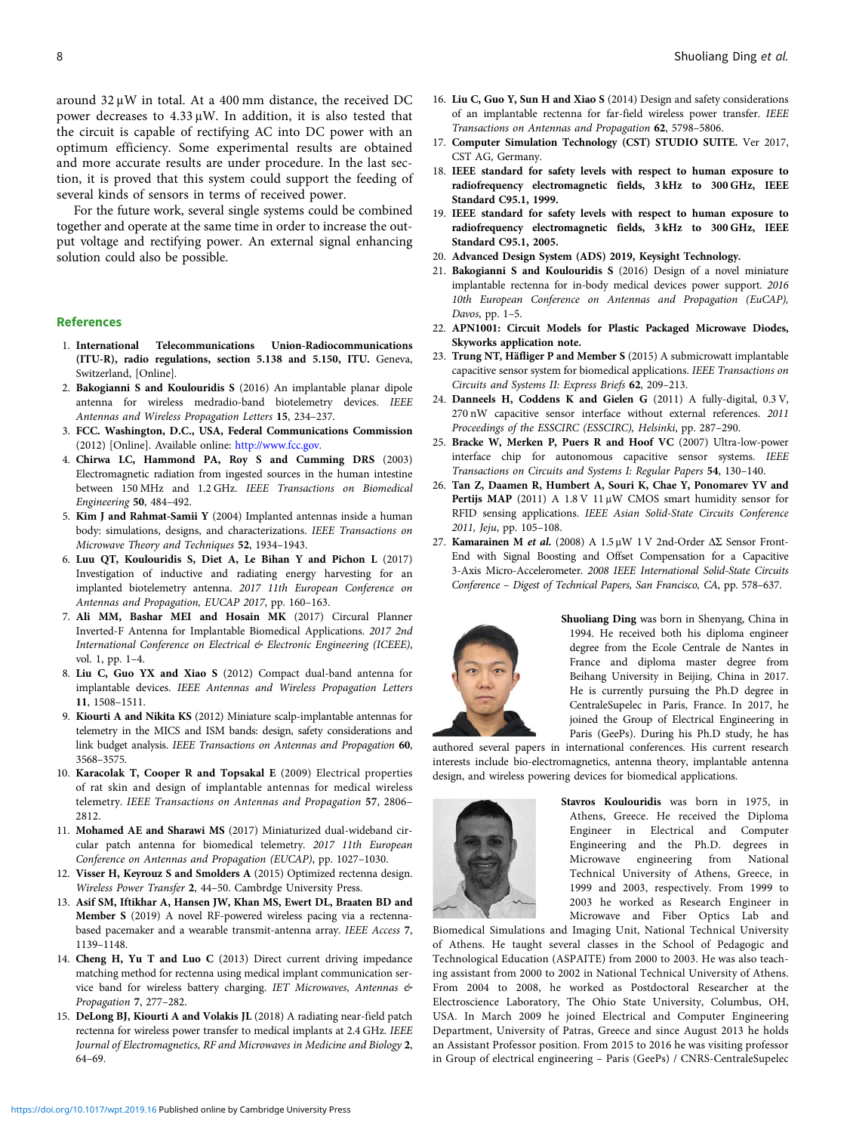<span id="page-7-0"></span>around 32 μW in total. At a 400 mm distance, the received DC power decreases to 4.33 μW. In addition, it is also tested that the circuit is capable of rectifying AC into DC power with an optimum efficiency. Some experimental results are obtained and more accurate results are under procedure. In the last section, it is proved that this system could support the feeding of several kinds of sensors in terms of received power.

For the future work, several single systems could be combined together and operate at the same time in order to increase the output voltage and rectifying power. An external signal enhancing solution could also be possible.

#### References

- 1. International Telecommunications Union-Radiocommunications (ITU-R), radio regulations, section 5.138 and 5.150, ITU. Geneva, Switzerland, [Online].
- 2. Bakogianni S and Koulouridis S (2016) An implantable planar dipole antenna for wireless medradio-band biotelemetry devices. IEEE Antennas and Wireless Propagation Letters 15, 234–237.
- 3. FCC. Washington, D.C., USA, Federal Communications Commission (2012) [Online]. Available online: [http://www.fcc.gov.](http://www.fcc.gov)
- 4. Chirwa LC, Hammond PA, Roy S and Cumming DRS (2003) Electromagnetic radiation from ingested sources in the human intestine between 150 MHz and 1.2 GHz. IEEE Transactions on Biomedical Engineering 50, 484–492.
- 5. Kim J and Rahmat-Samii Y (2004) Implanted antennas inside a human body: simulations, designs, and characterizations. IEEE Transactions on Microwave Theory and Techniques 52, 1934–1943.
- 6. Luu QT, Koulouridis S, Diet A, Le Bihan Y and Pichon L (2017) Investigation of inductive and radiating energy harvesting for an implanted biotelemetry antenna. 2017 11th European Conference on Antennas and Propagation, EUCAP 2017, pp. 160–163.
- 7. Ali MM, Bashar MEI and Hosain MK (2017) Circural Planner Inverted-F Antenna for Implantable Biomedical Applications. 2017 2nd International Conference on Electrical & Electronic Engineering (ICEEE), vol. 1, pp. 1–4.
- 8. Liu C, Guo YX and Xiao S (2012) Compact dual-band antenna for implantable devices. IEEE Antennas and Wireless Propagation Letters 11, 1508–1511.
- 9. Kiourti A and Nikita KS (2012) Miniature scalp-implantable antennas for telemetry in the MICS and ISM bands: design, safety considerations and link budget analysis. IEEE Transactions on Antennas and Propagation 60, 3568–3575.
- 10. Karacolak T, Cooper R and Topsakal E (2009) Electrical properties of rat skin and design of implantable antennas for medical wireless telemetry. IEEE Transactions on Antennas and Propagation 57, 2806– 2812.
- 11. Mohamed AE and Sharawi MS (2017) Miniaturized dual-wideband circular patch antenna for biomedical telemetry. 2017 11th European Conference on Antennas and Propagation (EUCAP), pp. 1027–1030.
- 12. Visser H, Keyrouz S and Smolders A (2015) Optimized rectenna design. Wireless Power Transfer 2, 44–50. Cambrdge University Press.
- 13. Asif SM, Iftikhar A, Hansen JW, Khan MS, Ewert DL, Braaten BD and Member S (2019) A novel RF-powered wireless pacing via a rectennabased pacemaker and a wearable transmit-antenna array. IEEE Access 7, 1139–1148.
- 14. Cheng H, Yu T and Luo C (2013) Direct current driving impedance matching method for rectenna using medical implant communication service band for wireless battery charging. IET Microwaves, Antennas & Propagation 7, 277–282.
- 15. DeLong BJ, Kiourti A and Volakis JL (2018) A radiating near-field patch rectenna for wireless power transfer to medical implants at 2.4 GHz. IEEE Journal of Electromagnetics, RF and Microwaves in Medicine and Biology 2, 64–69.
- 16. Liu C, Guo Y, Sun H and Xiao S (2014) Design and safety considerations of an implantable rectenna for far-field wireless power transfer. IEEE Transactions on Antennas and Propagation 62, 5798–5806.
- 17. Computer Simulation Technology (CST) STUDIO SUITE. Ver 2017, CST AG, Germany.
- 18. IEEE standard for safety levels with respect to human exposure to radiofrequency electromagnetic fields, 3 kHz to 300 GHz, IEEE Standard C95.1, 1999.
- 19. IEEE standard for safety levels with respect to human exposure to radiofrequency electromagnetic fields, 3 kHz to 300 GHz, IEEE Standard C95.1, 2005.
- 20. Advanced Design System (ADS) 2019, Keysight Technology.
- 21. Bakogianni S and Koulouridis S (2016) Design of a novel miniature implantable rectenna for in-body medical devices power support. 2016 10th European Conference on Antennas and Propagation (EuCAP), Davos, pp. 1–5.
- 22. APN1001: Circuit Models for Plastic Packaged Microwave Diodes, Skyworks application note.
- 23. Trung NT, Häfliger P and Member S (2015) A submicrowatt implantable capacitive sensor system for biomedical applications. IEEE Transactions on Circuits and Systems II: Express Briefs 62, 209–213.
- 24. Danneels H, Coddens K and Gielen G (2011) A fully-digital, 0.3 V, 270 nW capacitive sensor interface without external references. 2011 Proceedings of the ESSCIRC (ESSCIRC), Helsinki, pp. 287–290.
- 25. Bracke W, Merken P, Puers R and Hoof VC (2007) Ultra-low-power interface chip for autonomous capacitive sensor systems. IEEE Transactions on Circuits and Systems I: Regular Papers 54, 130–140.
- 26. Tan Z, Daamen R, Humbert A, Souri K, Chae Y, Ponomarev YV and Pertijs MAP (2011) A 1.8 V 11 μW CMOS smart humidity sensor for RFID sensing applications. IEEE Asian Solid-State Circuits Conference 2011, Jeju, pp. 105–108.
- 27. Kamarainen M et al. (2008) A  $1.5 \mu W$  1 V 2nd-Order ΔΣ Sensor Front-End with Signal Boosting and Offset Compensation for a Capacitive 3-Axis Micro-Accelerometer. 2008 IEEE International Solid-State Circuits Conference – Digest of Technical Papers, San Francisco, CA, pp. 578–637.



Shuoliang Ding was born in Shenyang, China in 1994. He received both his diploma engineer degree from the Ecole Centrale de Nantes in France and diploma master degree from Beihang University in Beijing, China in 2017. He is currently pursuing the Ph.D degree in CentraleSupelec in Paris, France. In 2017, he joined the Group of Electrical Engineering in Paris (GeePs). During his Ph.D study, he has

authored several papers in international conferences. His current research interests include bio-electromagnetics, antenna theory, implantable antenna design, and wireless powering devices for biomedical applications.



Stavros Koulouridis was born in 1975, in Athens, Greece. He received the Diploma Engineer in Electrical and Computer Engineering and the Ph.D. degrees in Microwave engineering from National Technical University of Athens, Greece, in 1999 and 2003, respectively. From 1999 to 2003 he worked as Research Engineer in Microwave and Fiber Optics Lab and

Biomedical Simulations and Imaging Unit, National Technical University of Athens. He taught several classes in the School of Pedagogic and Technological Education (ASPAITE) from 2000 to 2003. He was also teaching assistant from 2000 to 2002 in National Technical University of Athens. From 2004 to 2008, he worked as Postdoctoral Researcher at the Electroscience Laboratory, The Ohio State University, Columbus, OH, USA. In March 2009 he joined Electrical and Computer Engineering Department, University of Patras, Greece and since August 2013 he holds an Assistant Professor position. From 2015 to 2016 he was visiting professor in Group of electrical engineering – Paris (GeePs) / CNRS-CentraleSupelec